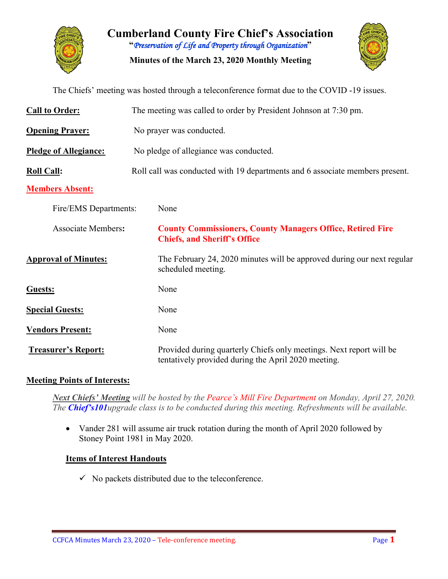

**Cumberland County Fire Chief's Association "***Preservation of Life and Property through Organization***"**

**Minutes of the March 23, 2020 Monthly Meeting**



The Chiefs' meeting was hosted through a teleconference format due to the COVID -19 issues.

| <b>Call to Order:</b>        | The meeting was called to order by President Johnson at 7:30 pm.                                                           |  |  |  |  |  |  |  |
|------------------------------|----------------------------------------------------------------------------------------------------------------------------|--|--|--|--|--|--|--|
| <b>Opening Prayer:</b>       | No prayer was conducted.                                                                                                   |  |  |  |  |  |  |  |
| <b>Pledge of Allegiance:</b> | No pledge of allegiance was conducted.                                                                                     |  |  |  |  |  |  |  |
| <b>Roll Call:</b>            | Roll call was conducted with 19 departments and 6 associate members present.                                               |  |  |  |  |  |  |  |
| <b>Members Absent:</b>       |                                                                                                                            |  |  |  |  |  |  |  |
| Fire/EMS Departments:        | None                                                                                                                       |  |  |  |  |  |  |  |
| <b>Associate Members:</b>    | <b>County Commissioners, County Managers Office, Retired Fire</b><br><b>Chiefs, and Sheriff's Office</b>                   |  |  |  |  |  |  |  |
| <b>Approval of Minutes:</b>  | The February 24, 2020 minutes will be approved during our next regular<br>scheduled meeting.                               |  |  |  |  |  |  |  |
| Guests:                      | None                                                                                                                       |  |  |  |  |  |  |  |
| <b>Special Guests:</b>       | None                                                                                                                       |  |  |  |  |  |  |  |
| <b>Vendors Present:</b>      | None                                                                                                                       |  |  |  |  |  |  |  |
| <b>Treasurer's Report:</b>   | Provided during quarterly Chiefs only meetings. Next report will be<br>tentatively provided during the April 2020 meeting. |  |  |  |  |  |  |  |

#### **Meeting Points of Interests:**

*Next Chiefs' Meeting will be hosted by the Pearce's Mill Fire Department on Monday, April 27, 2020. The Chief's101upgrade class is to be conducted during this meeting. Refreshments will be available.*

• Vander 281 will assume air truck rotation during the month of April 2020 followed by Stoney Point 1981 in May 2020.

#### **Items of Interest Handouts**

 $\checkmark$  No packets distributed due to the teleconference.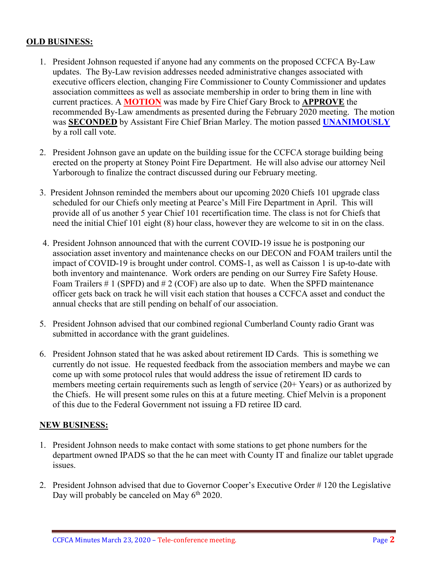#### **OLD BUSINESS:**

- 1. President Johnson requested if anyone had any comments on the proposed CCFCA By-Law updates. The By-Law revision addresses needed administrative changes associated with executive officers election, changing Fire Commissioner to County Commissioner and updates association committees as well as associate membership in order to bring them in line with current practices. A **MOTION** was made by Fire Chief Gary Brock to **APPROVE** the recommended By-Law amendments as presented during the February 2020 meeting. The motion was **SECONDED** by Assistant Fire Chief Brian Marley. The motion passed **UNANIMOUSLY**  by a roll call vote.
- 2. President Johnson gave an update on the building issue for the CCFCA storage building being erected on the property at Stoney Point Fire Department. He will also advise our attorney Neil Yarborough to finalize the contract discussed during our February meeting.
- 3. President Johnson reminded the members about our upcoming 2020 Chiefs 101 upgrade class scheduled for our Chiefs only meeting at Pearce's Mill Fire Department in April. This will provide all of us another 5 year Chief 101 recertification time. The class is not for Chiefs that need the initial Chief 101 eight (8) hour class, however they are welcome to sit in on the class.
- 4. President Johnson announced that with the current COVID-19 issue he is postponing our association asset inventory and maintenance checks on our DECON and FOAM trailers until the impact of COVID-19 is brought under control. COMS-1, as well as Caisson 1 is up-to-date with both inventory and maintenance. Work orders are pending on our Surrey Fire Safety House. Foam Trailers # 1 (SPFD) and # 2 (COF) are also up to date. When the SPFD maintenance officer gets back on track he will visit each station that houses a CCFCA asset and conduct the annual checks that are still pending on behalf of our association.
- 5. President Johnson advised that our combined regional Cumberland County radio Grant was submitted in accordance with the grant guidelines.
- 6. President Johnson stated that he was asked about retirement ID Cards. This is something we currently do not issue. He requested feedback from the association members and maybe we can come up with some protocol rules that would address the issue of retirement ID cards to members meeting certain requirements such as length of service (20+ Years) or as authorized by the Chiefs. He will present some rules on this at a future meeting. Chief Melvin is a proponent of this due to the Federal Government not issuing a FD retiree ID card.

#### **NEW BUSINESS:**

- 1. President Johnson needs to make contact with some stations to get phone numbers for the department owned IPADS so that the he can meet with County IT and finalize our tablet upgrade issues.
- 2. President Johnson advised that due to Governor Cooper's Executive Order # 120 the Legislative Day will probably be canceled on May  $6<sup>th</sup> 2020$ .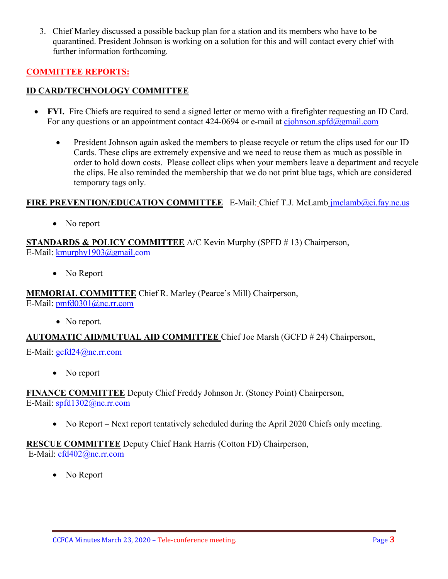3. Chief Marley discussed a possible backup plan for a station and its members who have to be quarantined. President Johnson is working on a solution for this and will contact every chief with further information forthcoming.

## **COMMITTEE REPORTS:**

#### **ID CARD/TECHNOLOGY COMMITTEE**

- **FYI.** Fire Chiefs are required to send a signed letter or memo with a firefighter requesting an ID Card. For any questions or an appointment contact  $424-0694$  or e-mail at [cjohnson.spfd@gmail.com](mailto:cjohnson.spfd@gmail.com)
	- President Johnson again asked the members to please recycle or return the clips used for our ID Cards. These clips are extremely expensive and we need to reuse them as much as possible in order to hold down costs. Please collect clips when your members leave a department and recycle the clips. He also reminded the membership that we do not print blue tags, which are considered temporary tags only.

#### FIRE PREVENTION/EDUCATION COMMITTEE E-Mail: Chief T.J. McLamb [jmclamb@ci.fay.nc.us](mailto:jmclamb@ci.fay.nc.us)

• No report

# **STANDARDS & POLICY COMMITTEE** A/C Kevin Murphy (SPFD # 13) Chairperson,

E-Mail: [kmurphy1903@gmail.com](mailto:kmurphy1903@gmail.com)

• No Report

**MEMORIAL COMMITTEE** Chief R. Marley (Pearce's Mill) Chairperson, E-Mail: [pmfd0301@nc.rr.com](mailto:pmfd0301@nc.rr.com)

• No report.

#### **AUTOMATIC AID/MUTUAL AID COMMITTEE** Chief Joe Marsh (GCFD # 24) Chairperson,

E-Mail: [gcfd24@nc.rr.com](mailto:gcfd24@nc.rr.com)

• No report

# **FINANCE COMMITTEE** Deputy Chief Freddy Johnson Jr. (Stoney Point) Chairperson,

E-Mail: [spfd1302@nc.rr.com](mailto:spfd1302@nc.rr.com)

• No Report – Next report tentatively scheduled during the April 2020 Chiefs only meeting.

#### **RESCUE COMMITTEE** Deputy Chief Hank Harris (Cotton FD) Chairperson,

E-Mail: [cfd402@nc.rr.com](mailto:cfd402@nc.rr.com)

• No Report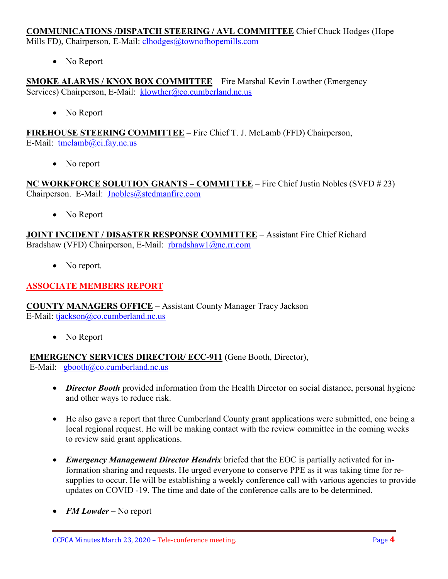# **COMMUNICATIONS /DISPATCH STEERING / AVL COMMITTEE** Chief Chuck Hodges (Hope

Mills FD), Chairperson, E-Mail: clhodges@townofhopemills.com

• No Report

**SMOKE ALARMS / KNOX BOX COMMITTEE** – Fire Marshal Kevin Lowther (Emergency Services) Chairperson, E-Mail: [klowther@co.cumberland.nc.us](mailto:klowther@co.cumberland.nc.us)

• No Report

**FIREHOUSE STEERING COMMITTEE** – Fire Chief T. J. McLamb (FFD) Chairperson, E-Mail: [tmclamb@ci.fay.nc.us](mailto:tmclamb@ci.fay.nc.us)

• No report

**NC WORKFORCE SOLUTION GRANTS – COMMITTEE** – Fire Chief Justin Nobles (SVFD # 23) Chairperson. E-Mail: [Jnobles@stedmanfire.com](mailto:Jnobles@stedmanfire.com)

• No Report

**JOINT INCIDENT / DISASTER RESPONSE COMMITTEE** – Assistant Fire Chief Richard Bradshaw (VFD) Chairperson, E-Mail: [rbradshaw1@nc.rr.com](mailto:rbradshaw1@nc.rr.com)

• No report.

# **ASSOCIATE MEMBERS REPORT**

**COUNTY MANAGERS OFFICE** – Assistant County Manager Tracy Jackson E-Mail: [tjackson@co.cumberland.nc.us](mailto:tjackson@co.cumberland.nc.us)

• No Report

**EMERGENCY SERVICES DIRECTOR/ ECC-911 (**Gene Booth, Director), E-Mail:  $\text{gbooth}(\partial_{\mathcal{L}}\text{co}.\text{cumberland}.\text{nc.us})$ 

- *Director Booth* provided information from the Health Director on social distance, personal hygiene and other ways to reduce risk.
- He also gave a report that three Cumberland County grant applications were submitted, one being a local regional request. He will be making contact with the review committee in the coming weeks to review said grant applications.
- *Emergency Management Director Hendrix* briefed that the EOC is partially activated for information sharing and requests. He urged everyone to conserve PPE as it was taking time for resupplies to occur. He will be establishing a weekly conference call with various agencies to provide updates on COVID -19. The time and date of the conference calls are to be determined.
- *FM Lowder* No report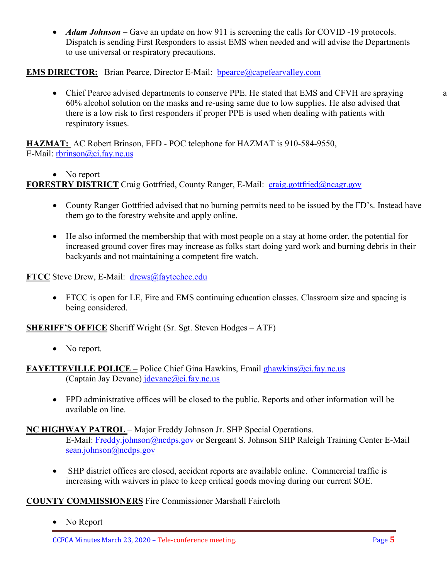• *Adam Johnson* – Gave an update on how 911 is screening the calls for COVID -19 protocols. Dispatch is sending First Responders to assist EMS when needed and will advise the Departments to use universal or respiratory precautions.

# **EMS DIRECTOR:** Brian Pearce, Director E-Mail: bpearce@capefearvalley.com

• Chief Pearce advised departments to conserve PPE. He stated that EMS and CFVH are spraying a 60% alcohol solution on the masks and re-using same due to low supplies. He also advised that there is a low risk to first responders if proper PPE is used when dealing with patients with respiratory issues.

**HAZMAT:** AC Robert Brinson, FFD - POC telephone for HAZMAT is 910-584-9550, E-Mail: [rbrinson@ci.fay.nc.us](mailto:rbrinson@ci.fay.nc.us)

• No report

**FORESTRY DISTRICT** Craig Gottfried, County Ranger, E-Mail: [craig.gottfried@ncagr.gov](mailto:craig.gottfried@ncagr.gov)

- County Ranger Gottfried advised that no burning permits need to be issued by the FD's. Instead have them go to the forestry website and apply online.
- He also informed the membership that with most people on a stay at home order, the potential for increased ground cover fires may increase as folks start doing yard work and burning debris in their backyards and not maintaining a competent fire watch.

**FTCC** Steve Drew, E-Mail: [drews@faytechcc.edu](mailto:drews@faytechcc.edu)

• FTCC is open for LE, Fire and EMS continuing education classes. Classroom size and spacing is being considered.

**SHERIFF'S OFFICE** Sheriff Wright (Sr. Sgt. Steven Hodges – ATF)

- No report.
- **FAYETTEVILLE POLICE –** Police Chief Gina Hawkins, Email [ghawkins@ci.fay.nc.us](mailto:ghawkins@ci.fay.nc.us)  (Captain Jay Devane)  $i$ devane@ci.fay.nc.us
	- FPD administrative offices will be closed to the public. Reports and other information will be available on line.

#### **NC HIGHWAY PATROL** – Major Freddy Johnson Jr. SHP Special Operations.

E-Mail: [Freddy.johnson@ncdps.gov](mailto:Freddy.johnson@ncdps.gov) or Sergeant S. Johnson SHP Raleigh Training Center E-Mail [sean.johnson@ncdps.gov](mailto:sean.johnson@ncdps.gov)

• SHP district offices are closed, accident reports are available online. Commercial traffic is increasing with waivers in place to keep critical goods moving during our current SOE.

#### **COUNTY COMMISSIONERS** Fire Commissioner Marshall Faircloth

• No Report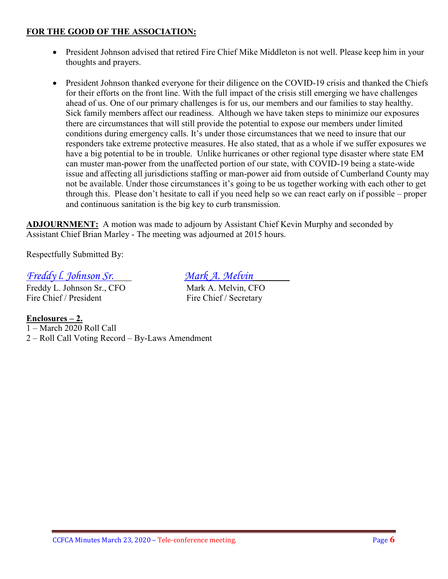#### **FOR THE GOOD OF THE ASSOCIATION:**

- President Johnson advised that retired Fire Chief Mike Middleton is not well. Please keep him in your thoughts and prayers.
- President Johnson thanked everyone for their diligence on the COVID-19 crisis and thanked the Chiefs for their efforts on the front line. With the full impact of the crisis still emerging we have challenges ahead of us. One of our primary challenges is for us, our members and our families to stay healthy. Sick family members affect our readiness. Although we have taken steps to minimize our exposures there are circumstances that will still provide the potential to expose our members under limited conditions during emergency calls. It's under those circumstances that we need to insure that our responders take extreme protective measures. He also stated, that as a whole if we suffer exposures we have a big potential to be in trouble. Unlike hurricanes or other regional type disaster where state EM can muster man-power from the unaffected portion of our state, with COVID-19 being a state-wide issue and affecting all jurisdictions staffing or man-power aid from outside of Cumberland County may not be available. Under those circumstances it's going to be us together working with each other to get through this. Please don't hesitate to call if you need help so we can react early on if possible – proper and continuous sanitation is the big key to curb transmission.

**ADJOURNMENT:** A motion was made to adjourn by Assistant Chief Kevin Murphy and seconded by Assistant Chief Brian Marley - The meeting was adjourned at 2015 hours.

Respectfully Submitted By:

# *Freddy l. Johnson Sr. Mark A. Melvin*

Freddy L. Johnson Sr., CFO Mark A. Melvin, CFO Fire Chief / President Fire Chief / Secretary

#### **Enclosures – 2.**

1 – March 2020 Roll Call 2 – Roll Call Voting Record – By-Laws Amendment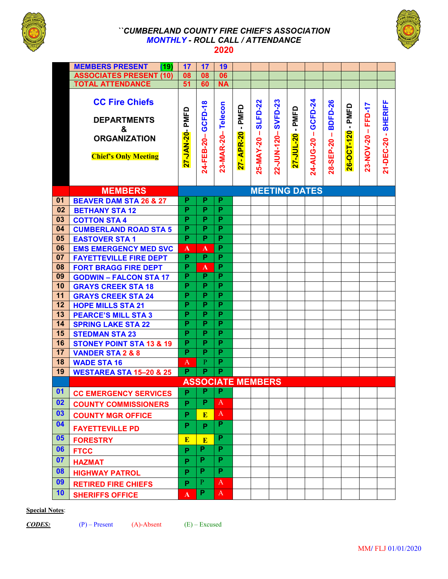

#### *``CUMBERLAND COUNTY FIRE CHIEF'S ASSOCIATION MONTHLY - ROLL CALL / ATTENDANCE*  **2020**



|                 | <b>MEMBERS PRESENT</b><br>(19)                                                                                                  | 17                 | 17                    | 19                       |                                                  |                                  |                               |                                   |                       |                                   |                                      |                       |                     |
|-----------------|---------------------------------------------------------------------------------------------------------------------------------|--------------------|-----------------------|--------------------------|--------------------------------------------------|----------------------------------|-------------------------------|-----------------------------------|-----------------------|-----------------------------------|--------------------------------------|-----------------------|---------------------|
|                 | <b>ASSOCIATES PRESENT (10)</b>                                                                                                  | 08                 | 08                    | 06                       |                                                  |                                  |                               |                                   |                       |                                   |                                      |                       |                     |
|                 | <b>TOTAL ATTENDANCE</b>                                                                                                         | 51                 | 60                    | <b>NA</b>                |                                                  |                                  |                               |                                   |                       |                                   |                                      |                       |                     |
|                 | <b>CC Fire Chiefs</b><br><b>DEPARTMENTS</b><br>$\boldsymbol{\mathcal{S}}$<br><b>ORGANIZATION</b><br><b>Chief's Only Meeting</b> | PMFD<br>27-JAN-20- | GCFD-18<br>24-FEB-20- | Telecon<br>23-MAR-20-    | PMFD<br>$\blacksquare$<br><b>APR-20</b><br>$27-$ | <b>SLFD-22</b><br>ш<br>25-MAY-20 | <b>SVFD-23</b><br>22-JUN-120- | PMFD<br>$\mathbf{r}$<br>27-JUL-20 | GCFD-24<br>24-AUG-20- | <b>BDFD-26</b><br>J.<br>28-SEP-20 | PMFD<br>$\blacksquare$<br>26-OCT-120 | - FFD-17<br>23-NOV-20 | 21-DEC-20 - SHERIFF |
|                 | <b>MEMBERS</b>                                                                                                                  |                    |                       |                          |                                                  |                                  | <b>MEETING DATES</b>          |                                   |                       |                                   |                                      |                       |                     |
| 01              | <b>BEAVER DAM STA 26 &amp; 27</b>                                                                                               | Р                  | P                     | P                        |                                                  |                                  |                               |                                   |                       |                                   |                                      |                       |                     |
| 02              | <b>BETHANY STA 12</b>                                                                                                           | P                  | P                     | P                        |                                                  |                                  |                               |                                   |                       |                                   |                                      |                       |                     |
| 03              | <b>COTTON STA 4</b>                                                                                                             | P                  | P                     | P                        |                                                  |                                  |                               |                                   |                       |                                   |                                      |                       |                     |
| 04              | <b>CUMBERLAND ROAD STA 5</b>                                                                                                    | P                  | P                     | $\overline{P}$           |                                                  |                                  |                               |                                   |                       |                                   |                                      |                       |                     |
| 05              | <b>EASTOVER STA1</b>                                                                                                            | P                  | P                     | P                        |                                                  |                                  |                               |                                   |                       |                                   |                                      |                       |                     |
| 06              | <b>EMS EMERGENCY MED SVC</b>                                                                                                    | $\mathbf{A}$       | $\mathbf{A}$          | P                        |                                                  |                                  |                               |                                   |                       |                                   |                                      |                       |                     |
| 07              | <b>FAYETTEVILLE FIRE DEPT</b>                                                                                                   | P                  | $\overline{P}$        | $\overline{P}$           |                                                  |                                  |                               |                                   |                       |                                   |                                      |                       |                     |
| 08              | <b>FORT BRAGG FIRE DEPT</b>                                                                                                     | P                  | $\mathbf{A}$          | P                        |                                                  |                                  |                               |                                   |                       |                                   |                                      |                       |                     |
| 09              | <b>GODWIN - FALCON STA 17</b>                                                                                                   | P                  | P                     | P                        |                                                  |                                  |                               |                                   |                       |                                   |                                      |                       |                     |
| 10              | <b>GRAYS CREEK STA 18</b>                                                                                                       | P                  | P                     | P                        |                                                  |                                  |                               |                                   |                       |                                   |                                      |                       |                     |
| 11              | <b>GRAYS CREEK STA 24</b>                                                                                                       | P                  | P                     | P                        |                                                  |                                  |                               |                                   |                       |                                   |                                      |                       |                     |
| 12              | <b>HOPE MILLS STA 21</b>                                                                                                        | P                  | P                     | P                        |                                                  |                                  |                               |                                   |                       |                                   |                                      |                       |                     |
| $\overline{13}$ | <b>PEARCE'S MILL STA 3</b>                                                                                                      | P                  | P                     | $\overline{P}$           |                                                  |                                  |                               |                                   |                       |                                   |                                      |                       |                     |
| 14              | <b>SPRING LAKE STA 22</b>                                                                                                       | P                  | P                     | P                        |                                                  |                                  |                               |                                   |                       |                                   |                                      |                       |                     |
| 15              | <b>STEDMAN STA 23</b>                                                                                                           | P                  | P                     | P                        |                                                  |                                  |                               |                                   |                       |                                   |                                      |                       |                     |
| 16              | <b>STONEY POINT STA 13 &amp; 19</b>                                                                                             | P                  | P                     | P                        |                                                  |                                  |                               |                                   |                       |                                   |                                      |                       |                     |
| 17              | <b>VANDER STA 2 &amp; 8</b>                                                                                                     | P                  | P                     | P                        |                                                  |                                  |                               |                                   |                       |                                   |                                      |                       |                     |
| 18              | <b>WADE STA 16</b>                                                                                                              | A                  | $\mathbf{P}$          | P                        |                                                  |                                  |                               |                                   |                       |                                   |                                      |                       |                     |
| 19              | <b>WESTAREA STA 15-20 &amp; 25</b>                                                                                              | P                  | P                     | P                        |                                                  |                                  |                               |                                   |                       |                                   |                                      |                       |                     |
|                 |                                                                                                                                 |                    |                       | <b>ASSOCIATE MEMBERS</b> |                                                  |                                  |                               |                                   |                       |                                   |                                      |                       |                     |
| 01              | <b>CC EMERGENCY SERVICES</b>                                                                                                    | P                  | P                     | P                        |                                                  |                                  |                               |                                   |                       |                                   |                                      |                       |                     |
| 02              | <b>COUNTY COMMISSIONERS</b>                                                                                                     | P                  | P                     | A                        |                                                  |                                  |                               |                                   |                       |                                   |                                      |                       |                     |
| 03              | <b>COUNTY MGR OFFICE</b>                                                                                                        | P                  | E                     | A                        |                                                  |                                  |                               |                                   |                       |                                   |                                      |                       |                     |
| 04              | <b>FAYETTEVILLE PD</b>                                                                                                          | P                  | P                     | P                        |                                                  |                                  |                               |                                   |                       |                                   |                                      |                       |                     |
| 05              | <b>FORESTRY</b>                                                                                                                 | ${\bf E}$          | $\overline{E}$        | P                        |                                                  |                                  |                               |                                   |                       |                                   |                                      |                       |                     |
| 06              | <b>FTCC</b>                                                                                                                     | P                  | P                     | P                        |                                                  |                                  |                               |                                   |                       |                                   |                                      |                       |                     |
| 07              | <b>HAZMAT</b>                                                                                                                   | P                  | P                     | P                        |                                                  |                                  |                               |                                   |                       |                                   |                                      |                       |                     |
| 08              | <b>HIGHWAY PATROL</b>                                                                                                           | P                  | P                     | P                        |                                                  |                                  |                               |                                   |                       |                                   |                                      |                       |                     |
| 09              | <b>RETIRED FIRE CHIEFS</b>                                                                                                      | P                  | $\mathbf{P}$          | A                        |                                                  |                                  |                               |                                   |                       |                                   |                                      |                       |                     |
| 10              | <b>SHERIFFS OFFICE</b>                                                                                                          | $\mathbf{A}$       | P                     | $\mathbf{A}$             |                                                  |                                  |                               |                                   |                       |                                   |                                      |                       |                     |

#### **Special Notes**:

*CODES:* (P) – Present (A)-Absent (E) – Excused